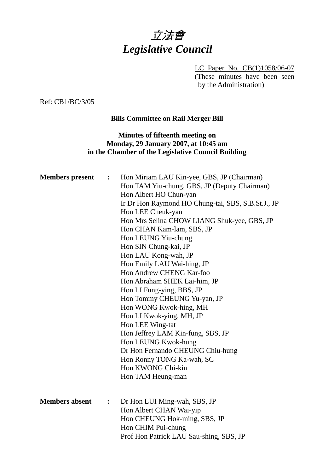

LC Paper No. CB(1)1058/06-07 (These minutes have been seen by the Administration)

Ref: CB1/BC/3/05

## **Bills Committee on Rail Merger Bill**

## **Minutes of fifteenth meeting on Monday, 29 January 2007, at 10:45 am in the Chamber of the Legislative Council Building**

| $\ddot{\cdot}$ | Hon Miriam LAU Kin-yee, GBS, JP (Chairman)<br>Hon TAM Yiu-chung, GBS, JP (Deputy Chairman)<br>Hon Albert HO Chun-yan<br>Ir Dr Hon Raymond HO Chung-tai, SBS, S.B.St.J., JP<br>Hon LEE Cheuk-yan<br>Hon Mrs Selina CHOW LIANG Shuk-yee, GBS, JP<br>Hon CHAN Kam-lam, SBS, JP<br>Hon LEUNG Yiu-chung<br>Hon SIN Chung-kai, JP<br>Hon LAU Kong-wah, JP<br>Hon Emily LAU Wai-hing, JP<br>Hon Andrew CHENG Kar-foo<br>Hon Abraham SHEK Lai-him, JP<br>Hon LI Fung-ying, BBS, JP<br>Hon Tommy CHEUNG Yu-yan, JP<br>Hon WONG Kwok-hing, MH<br>Hon LI Kwok-ying, MH, JP<br>Hon LEE Wing-tat<br>Hon Jeffrey LAM Kin-fung, SBS, JP<br>Hon LEUNG Kwok-hung<br>Dr Hon Fernando CHEUNG Chiu-hung<br>Hon Ronny TONG Ka-wah, SC<br>Hon KWONG Chi-kin<br>Hon TAM Heung-man |
|----------------|------------------------------------------------------------------------------------------------------------------------------------------------------------------------------------------------------------------------------------------------------------------------------------------------------------------------------------------------------------------------------------------------------------------------------------------------------------------------------------------------------------------------------------------------------------------------------------------------------------------------------------------------------------------------------------------------------------------------------------------------------------|
| $\ddot{\cdot}$ | Dr Hon LUI Ming-wah, SBS, JP<br>Hon Albert CHAN Wai-yip<br>Hon CHEUNG Hok-ming, SBS, JP<br>Hon CHIM Pui-chung<br>Prof Hon Patrick LAU Sau-shing, SBS, JP                                                                                                                                                                                                                                                                                                                                                                                                                                                                                                                                                                                                   |
|                |                                                                                                                                                                                                                                                                                                                                                                                                                                                                                                                                                                                                                                                                                                                                                            |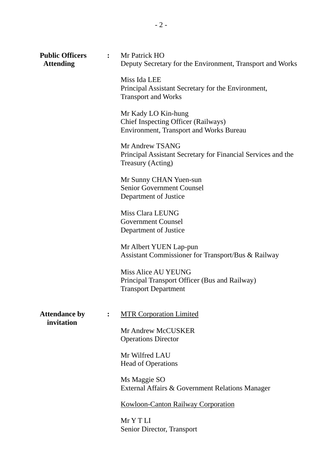| <b>Public Officers</b><br><b>Attending</b> |                | : Mr Patrick HO<br>Deputy Secretary for the Environment, Transport and Works                                 |
|--------------------------------------------|----------------|--------------------------------------------------------------------------------------------------------------|
|                                            |                | Miss Ida LEE<br>Principal Assistant Secretary for the Environment,<br><b>Transport and Works</b>             |
|                                            |                | Mr Kady LO Kin-hung<br>Chief Inspecting Officer (Railways)<br><b>Environment, Transport and Works Bureau</b> |
|                                            |                | Mr Andrew TSANG<br>Principal Assistant Secretary for Financial Services and the<br>Treasury (Acting)         |
|                                            |                | Mr Sunny CHAN Yuen-sun<br><b>Senior Government Counsel</b><br>Department of Justice                          |
|                                            |                | Miss Clara LEUNG<br><b>Government Counsel</b><br>Department of Justice                                       |
|                                            |                | Mr Albert YUEN Lap-pun<br>Assistant Commissioner for Transport/Bus & Railway                                 |
|                                            |                | <b>Miss Alice AU YEUNG</b><br>Principal Transport Officer (Bus and Railway)<br><b>Transport Department</b>   |
| <b>Attendance by</b><br>invitation         | $\ddot{\cdot}$ | <b>MTR Corporation Limited</b>                                                                               |
|                                            |                | Mr Andrew McCUSKER<br><b>Operations Director</b>                                                             |
|                                            |                | Mr Wilfred LAU<br><b>Head of Operations</b>                                                                  |
|                                            |                | Ms Maggie SO<br>External Affairs & Government Relations Manager                                              |
|                                            |                | <b>Kowloon-Canton Railway Corporation</b>                                                                    |
|                                            |                | Mr Y T LI<br>Senior Director, Transport                                                                      |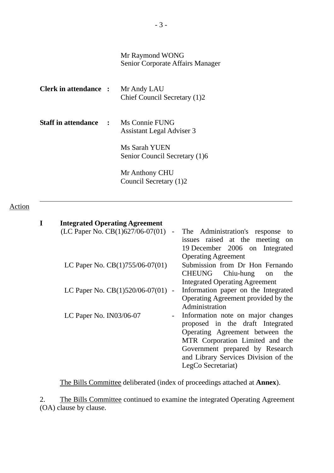## Mr Raymond WONG Senior Corporate Affairs Manager

| <b>Clerk in attendance :</b> Mr Andy LAU    | Chief Council Secretary (1)2                   |
|---------------------------------------------|------------------------------------------------|
| <b>Staff in attendance : Ms Connie FUNG</b> | Assistant Legal Adviser 3                      |
|                                             | Ms Sarah YUEN<br>Senior Council Secretary (1)6 |
|                                             | Mr Anthony CHU<br>Council Secretary (1)2       |

## Action

#### **I Integrated Operating Agreement**

| $\blacksquare$                      | The Administration's response<br>to      |
|-------------------------------------|------------------------------------------|
|                                     | issues raised at the meeting<br>on       |
|                                     | 19 December 2006 on Integrated           |
|                                     | <b>Operating Agreement</b>               |
|                                     | Submission from Dr Hon Fernando          |
|                                     | CHEUNG Chiu-hung<br>the<br><sub>on</sub> |
|                                     | <b>Integrated Operating Agreement</b>    |
| LC Paper No. $CB(1)520/06-07(01)$ - | Information paper on the Integrated      |
|                                     | Operating Agreement provided by the      |
|                                     | Administration                           |
|                                     | Information note on major changes        |
|                                     | proposed in the draft Integrated         |
|                                     | Operating Agreement between the          |
|                                     | MTR Corporation Limited and the          |
|                                     | Government prepared by Research          |
|                                     | and Library Services Division of the     |
|                                     | LegCo Secretariat)                       |
|                                     |                                          |

The Bills Committee deliberated (index of proceedings attached at **Annex**).

2. The Bills Committee continued to examine the integrated Operating Agreement (OA) clause by clause.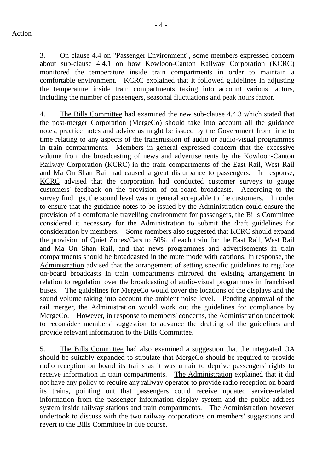- 4 -

3. On clause 4.4 on "Passenger Environment", some members expressed concern about sub-clause 4.4.1 on how Kowloon-Canton Railway Corporation (KCRC) monitored the temperature inside train compartments in order to maintain a comfortable environment. KCRC explained that it followed guidelines in adjusting the temperature inside train compartments taking into account various factors, including the number of passengers, seasonal fluctuations and peak hours factor.

4. The Bills Committee had examined the new sub-clause 4.4.3 which stated that the post-merger Corporation (MergeCo) should take into account all the guidance notes, practice notes and advice as might be issued by the Government from time to time relating to any aspects of the transmission of audio or audio-visual programmes in train compartments. Members in general expressed concern that the excessive volume from the broadcasting of news and advertisements by the Kowloon-Canton Railway Corporation (KCRC) in the train compartments of the East Rail, West Rail and Ma On Shan Rail had caused a great disturbance to passengers. In response, KCRC advised that the corporation had conducted customer surveys to gauge customers' feedback on the provision of on-board broadcasts. According to the survey findings, the sound level was in general acceptable to the customers. In order to ensure that the guidance notes to be issued by the Administration could ensure the provision of a comfortable travelling environment for passengers, the Bills Committee considered it necessary for the Administration to submit the draft guidelines for consideration by members. Some members also suggested that KCRC should expand the provision of Quiet Zones/Cars to 50% of each train for the East Rail, West Rail and Ma On Shan Rail, and that news programmes and advertisements in train compartments should be broadcasted in the mute mode with captions. In response, the Administration advised that the arrangement of setting specific guidelines to regulate on-board broadcasts in train compartments mirrored the existing arrangement in relation to regulation over the broadcasting of audio-visual programmes in franchised buses. The guidelines for MergeCo would cover the locations of the displays and the sound volume taking into account the ambient noise level. Pending approval of the rail merger, the Administration would work out the guidelines for compliance by MergeCo. However, in response to members' concerns, the Administration undertook to reconsider members' suggestion to advance the drafting of the guidelines and provide relevant information to the Bills Committee.

5. The Bills Committee had also examined a suggestion that the integrated OA should be suitably expanded to stipulate that MergeCo should be required to provide radio reception on board its trains as it was unfair to deprive passengers' rights to receive information in train compartments. The Administration explained that it did not have any policy to require any railway operator to provide radio reception on board its trains, pointing out that passengers could receive updated service-related information from the passenger information display system and the public address system inside railway stations and train compartments. The Administration however undertook to discuss with the two railway corporations on members' suggestions and revert to the Bills Committee in due course.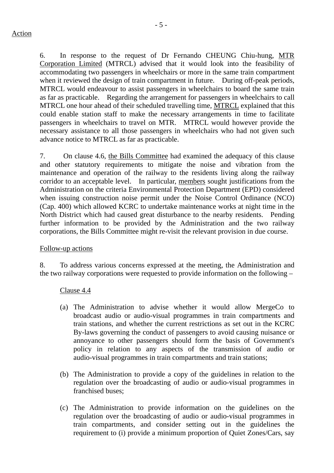- 5 -

6. In response to the request of Dr Fernando CHEUNG Chiu-hung, MTR Corporation Limited (MTRCL) advised that it would look into the feasibility of accommodating two passengers in wheelchairs or more in the same train compartment when it reviewed the design of train compartment in future. During off-peak periods, MTRCL would endeavour to assist passengers in wheelchairs to board the same train as far as practicable. Regarding the arrangement for passengers in wheelchairs to call MTRCL one hour ahead of their scheduled travelling time, MTRCL explained that this could enable station staff to make the necessary arrangements in time to facilitate passengers in wheelchairs to travel on MTR. MTRCL would however provide the necessary assistance to all those passengers in wheelchairs who had not given such advance notice to MTRCL as far as practicable.

7. On clause 4.6, the Bills Committee had examined the adequacy of this clause and other statutory requirements to mitigate the noise and vibration from the maintenance and operation of the railway to the residents living along the railway corridor to an acceptable level. In particular, members sought justifications from the Administration on the criteria Environmental Protection Department (EPD) considered when issuing construction noise permit under the Noise Control Ordinance (NCO) (Cap. 400) which allowed KCRC to undertake maintenance works at night time in the North District which had caused great disturbance to the nearby residents. Pending further information to be provided by the Administration and the two railway corporations, the Bills Committee might re-visit the relevant provision in due course.

## Follow-up actions

8. To address various concerns expressed at the meeting, the Administration and the two railway corporations were requested to provide information on the following –

#### Clause 4.4

- (a) The Administration to advise whether it would allow MergeCo to broadcast audio or audio-visual programmes in train compartments and train stations, and whether the current restrictions as set out in the KCRC By-laws governing the conduct of passengers to avoid causing nuisance or annoyance to other passengers should form the basis of Government's policy in relation to any aspects of the transmission of audio or audio-visual programmes in train compartments and train stations;
- (b) The Administration to provide a copy of the guidelines in relation to the regulation over the broadcasting of audio or audio-visual programmes in franchised buses;
- (c) The Administration to provide information on the guidelines on the regulation over the broadcasting of audio or audio-visual programmes in train compartments, and consider setting out in the guidelines the requirement to (i) provide a minimum proportion of Quiet Zones/Cars, say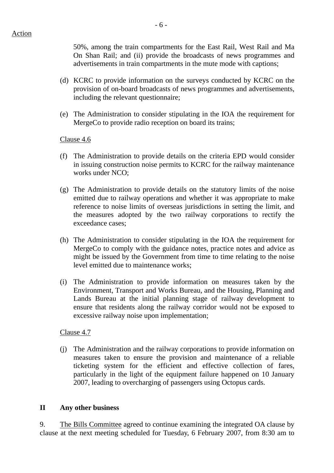50%, among the train compartments for the East Rail, West Rail and Ma On Shan Rail; and (ii) provide the broadcasts of news programmes and advertisements in train compartments in the mute mode with captions;

- (d) KCRC to provide information on the surveys conducted by KCRC on the provision of on-board broadcasts of news programmes and advertisements, including the relevant questionnaire;
- (e) The Administration to consider stipulating in the IOA the requirement for MergeCo to provide radio reception on board its trains;

### Clause 4.6

- (f) The Administration to provide details on the criteria EPD would consider in issuing construction noise permits to KCRC for the railway maintenance works under NCO;
- (g) The Administration to provide details on the statutory limits of the noise emitted due to railway operations and whether it was appropriate to make reference to noise limits of overseas jurisdictions in setting the limit, and the measures adopted by the two railway corporations to rectify the exceedance cases;
- (h) The Administration to consider stipulating in the IOA the requirement for MergeCo to comply with the guidance notes, practice notes and advice as might be issued by the Government from time to time relating to the noise level emitted due to maintenance works;
- (i) The Administration to provide information on measures taken by the Environment, Transport and Works Bureau, and the Housing, Planning and Lands Bureau at the initial planning stage of railway development to ensure that residents along the railway corridor would not be exposed to excessive railway noise upon implementation;

#### Clause 4.7

(j) The Administration and the railway corporations to provide information on measures taken to ensure the provision and maintenance of a reliable ticketing system for the efficient and effective collection of fares, particularly in the light of the equipment failure happened on 10 January 2007, leading to overcharging of passengers using Octopus cards.

#### **II Any other business**

9. The Bills Committee agreed to continue examining the integrated OA clause by clause at the next meeting scheduled for Tuesday, 6 February 2007, from 8:30 am to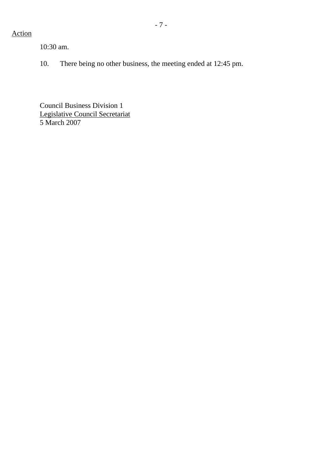# Action

10:30 am.

10. There being no other business, the meeting ended at 12:45 pm.

Council Business Division 1 Legislative Council Secretariat 5 March 2007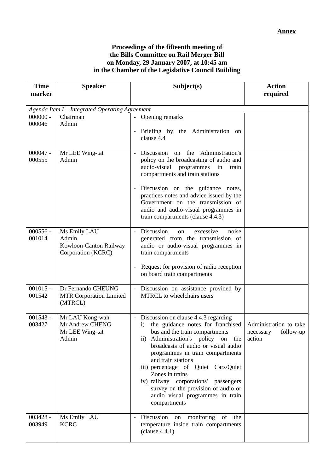#### **Proceedings of the fifteenth meeting of the Bills Committee on Rail Merger Bill on Monday, 29 January 2007, at 10:45 am in the Chamber of the Legislative Council Building**

| <b>Time</b><br>marker                          | <b>Speaker</b>                                                        | Subject(s)                                                                                                                                                                                                                                                                                                                                                                                                                                                        | <b>Action</b><br>required                                  |
|------------------------------------------------|-----------------------------------------------------------------------|-------------------------------------------------------------------------------------------------------------------------------------------------------------------------------------------------------------------------------------------------------------------------------------------------------------------------------------------------------------------------------------------------------------------------------------------------------------------|------------------------------------------------------------|
|                                                |                                                                       |                                                                                                                                                                                                                                                                                                                                                                                                                                                                   |                                                            |
| Agenda Item I - Integrated Operating Agreement |                                                                       |                                                                                                                                                                                                                                                                                                                                                                                                                                                                   |                                                            |
| $000000 -$<br>000046                           | Chairman<br>Admin                                                     | - Opening remarks<br>Briefing by the Administration on<br>clause 4.4                                                                                                                                                                                                                                                                                                                                                                                              |                                                            |
| $000047 -$<br>000555                           | Mr LEE Wing-tat<br>Admin                                              | Administration's<br>Discussion on the<br>policy on the broadcasting of audio and<br>audio-visual<br>programmes<br>in<br>train<br>compartments and train stations<br>Discussion on the guidance notes,<br>practices notes and advice issued by the<br>Government on the transmission of<br>audio and audio-visual programmes in<br>train compartments (clause 4.4.3)                                                                                               |                                                            |
| $000556 -$<br>001014                           | Ms Emily LAU<br>Admin<br>Kowloon-Canton Railway<br>Corporation (KCRC) | - Discussion<br>excessive<br>noise<br>on<br>generated from the transmission of<br>audio or audio-visual programmes in<br>train compartments<br>Request for provision of radio reception<br>on board train compartments                                                                                                                                                                                                                                            |                                                            |
| $001015 -$<br>001542                           | Dr Fernando CHEUNG<br><b>MTR Corporation Limited</b><br>(MTRCL)       | - Discussion on assistance provided by<br><b>MTRCL</b> to wheelchairs users                                                                                                                                                                                                                                                                                                                                                                                       |                                                            |
| $001543 -$<br>003427                           | Mr LAU Kong-wah<br>Mr Andrew CHENG<br>Mr LEE Wing-tat<br>Admin        | - Discussion on clause 4.4.3 regarding<br>the guidance notes for franchised<br>$\mathbf{i}$<br>bus and the train compartments<br>ii) Administration's policy on the<br>broadcasts of audio or visual audio<br>programmes in train compartments<br>and train stations<br>iii) percentage of Quiet Cars/Quiet<br>Zones in trains<br>iv) railway corporations' passengers<br>survey on the provision of audio or<br>audio visual programmes in train<br>compartments | Administration to take<br>necessary<br>follow-up<br>action |
| $003428 -$<br>003949                           | Ms Emily LAU<br><b>KCRC</b>                                           | Discussion<br>of<br>monitoring<br>the<br>on<br>temperature inside train compartments<br>clause 4.4.1)                                                                                                                                                                                                                                                                                                                                                             |                                                            |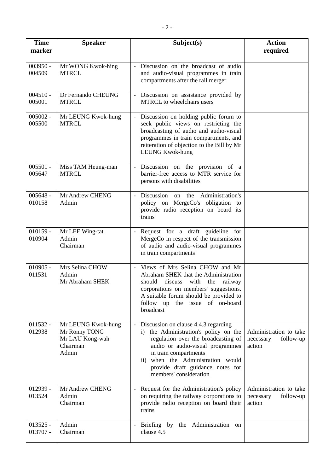| <b>Time</b><br>marker    | <b>Speaker</b>                                                              | Subject(s)                                                                                                                                                                                                                                                                                                                 | <b>Action</b><br>required                                  |
|--------------------------|-----------------------------------------------------------------------------|----------------------------------------------------------------------------------------------------------------------------------------------------------------------------------------------------------------------------------------------------------------------------------------------------------------------------|------------------------------------------------------------|
| $003950 -$<br>004509     | Mr WONG Kwok-hing<br><b>MTRCL</b>                                           | Discussion on the broadcast of audio<br>and audio-visual programmes in train<br>compartments after the rail merger                                                                                                                                                                                                         |                                                            |
| $004510 -$<br>005001     | Dr Fernando CHEUNG<br><b>MTRCL</b>                                          | Discussion on assistance provided by<br>$\overline{\phantom{a}}$<br>MTRCL to wheelchairs users                                                                                                                                                                                                                             |                                                            |
| $005002 -$<br>005500     | Mr LEUNG Kwok-hung<br><b>MTRCL</b>                                          | Discussion on holding public forum to<br>seek public views on restricting the<br>broadcasting of audio and audio-visual<br>programmes in train compartments, and<br>reiteration of objection to the Bill by Mr<br><b>LEUNG Kwok-hung</b>                                                                                   |                                                            |
| $005501 -$<br>005647     | Miss TAM Heung-man<br><b>MTRCL</b>                                          | Discussion on the provision of a<br>barrier-free access to MTR service for<br>persons with disabilities                                                                                                                                                                                                                    |                                                            |
| $005648 -$<br>010158     | Mr Andrew CHENG<br>Admin                                                    | Discussion on the Administration's<br>policy on MergeCo's obligation to<br>provide radio reception on board its<br>trains                                                                                                                                                                                                  |                                                            |
| $010159 -$<br>010904     | Mr LEE Wing-tat<br>Admin<br>Chairman                                        | Request for a draft guideline for<br>MergeCo in respect of the transmission<br>of audio and audio-visual programmes<br>in train compartments                                                                                                                                                                               |                                                            |
| $010905 -$<br>011531     | Mrs Selina CHOW<br>Admin<br>Mr Abraham SHEK                                 | Views of Mrs Selina CHOW and Mr<br>$\sim$<br>Abraham SHEK that the Administration<br>should<br>discuss with the railway<br>corporations on members' suggestions.<br>A suitable forum should be provided to<br>follow up<br>the issue of on-board<br>broadcast                                                              |                                                            |
| $011532 -$<br>012938     | Mr LEUNG Kwok-hung<br>Mr Ronny TONG<br>Mr LAU Kong-wah<br>Chairman<br>Admin | Discussion on clause 4.4.3 regarding<br>$\omega_{\rm{eff}}$<br>the Administration's policy on the<br>$\mathbf{i}$ )<br>regulation over the broadcasting of<br>audio or audio-visual programmes<br>in train compartments<br>ii) when the Administration would<br>provide draft guidance notes for<br>members' consideration | Administration to take<br>follow-up<br>necessary<br>action |
| $012939 -$<br>013524     | Mr Andrew CHENG<br>Admin<br>Chairman                                        | Request for the Administration's policy<br>$\overline{\phantom{a}}$<br>on requiring the railway corporations to<br>provide radio reception on board their<br>trains                                                                                                                                                        | Administration to take<br>necessary<br>follow-up<br>action |
| $013525 -$<br>$013707 -$ | Admin<br>Chairman                                                           | by<br>the Administration<br>Briefing<br>on<br>$\overline{\phantom{a}}$<br>clause 4.5                                                                                                                                                                                                                                       |                                                            |